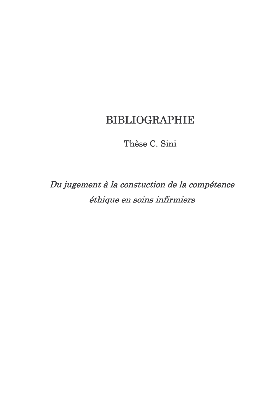# **BIBLIOGRAPHIE**

Thèse C. Sini

Du jugement à la constuction de la compétence éthique en soins infirmiers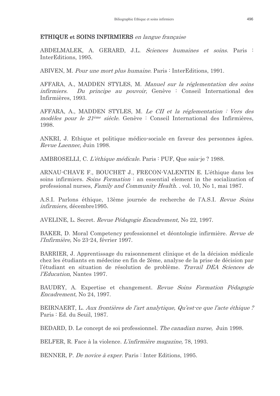## **ETHIQUE et SOINS INFIRMIERS** en langue française

ABDELMALEK, A. GERARD, J.L. Sciences humaines et soins. Paris : InterEditions, 1995.

ABIVEN, M. Pour une mort plus humaine. Paris : InterEditions, 1991.

AFFARA, A., MADDEN STYLES, M. Manuel sur la réglementation des soins Du principe au pouvoir, Genève : Conseil International des *infirmiers.* Infirmières, 1993.

AFFARA, A., MADDEN STYLES, M. Le CII et la réglementation : Vers des modèles pour le 21<sup>ème</sup> siècle. Genève : Conseil International des Infirmières, 1998.

ANKRI, J. Ethique et politique médico-sociale en faveur des personnes âgées. Revue Laennec, Juin 1998.

AMBROSELLI, C. L'éthique médicale. Paris : PUF, Que sais-je ? 1988.

ARNAU-CHAVE F., BOUCHET J., FRECON-VALENTIN E. L'éthique dans les soins infirmiers. Soins Formation: an essential element in the socialization of professional nurses, Family and Community Health. vol. 10, No 1, mai 1987.

A.S.I. Parlons éthique, 13ème journée de recherche de l'A.S.I. Revue Soins infirmiers. décembre1995.

AVELINE, L. Secret. Revue Pédagogie Encadrement. No 22, 1997.

BAKER, D. Moral Competency professionnel et déontologie infirmière. Revue de *l'Infirmière*, No 23-24, février 1997.

BARRIER, J. Apprentissage du raisonnement clinique et de la décision médicale chez les étudiants en médecine en fin de 2ème, analyse de la prise de décision par l'étudiant en situation de résolution de problème. Travail DEA Sciences de l'Education, Nantes 1997.

BAUDRY, A. Expertise et changement. Revue Soins Formation Pédagogie *Encadrement, No 24, 1997.* 

BEIRNAERT, L. Aux frontières de l'art analytique, Qu'est ce que l'acte éthique? Paris : Ed. du Seuil, 1987.

BEDARD, D. Le concept de soi professionnel. The canadian nurse, Juin 1998.

BELFER, R. Face à la violence. L'infirmière magazine, 78, 1993.

BENNER, P. De novice à exper. Paris : Inter Editions, 1995.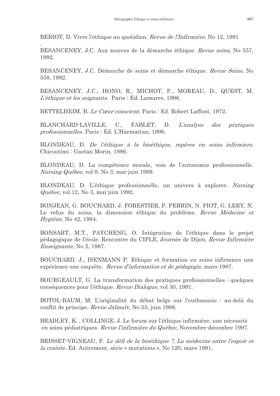BERIOT, D. Vivre l'éthique au quotidien. Revue de l'Infirmière, No 12, 1991

BESANCENEY, J.C. Aux sources de la démarche éthique. Revue soins, No 557, 1992.

BESANCENEY, J.C. Démarche de soins et démarche éthique. Revue Soins, No. 558, 1992.

BESANCENEY, J.C., HONO, R., MICHOT, P., MOREAU, D., QUEST, M. L'éthique et les soignants. Paris : Ed. Lamarre, 1996.

BETTELHEIM, B. Le Cœur conscient. Paris : Ed. Robert Laffont, 1972.

BLANCHARD-LAVILLE,  $C_{\cdot}$ FABLET, D. *L'analyse*  $des$ pratiques professionnelles. Paris : Ed. L'Harmattan, 1996.

BLONDEAU, D. De l'éthique à la bioéthique, repères en soins infirmiers. Chicoutimi: Gaetan Morin, 1986.

BLONDEAU, D. La compétence morale, voie de l'autonomie professionnelle. *Nursing Québec, vol 9, No 3, mai-juin 1989.* 

BLONDEAU, D. L'éthique professionnelle, un univers à explorer. Nursing Québec, vol.12, No 3, mai-juin 1992.

BONJEAN, G. BOUCHARD, J. FORESTIER, P. PERRIN, N. PIOT, G. LERY, N. Le refus du soins, la dimension éthique du problème. Revue Médecine et Hygiène, No 42, 1984.

BONSART, M.T., PAYCHENG, O. Intégration de l'éthique dans le projet pédagogique de l'école. Rencontre du CIPLE, Journée de Dijon, Revue Infirmière *Enseignante*, No 2, 1987.

BOUCHARD, J., ISENMANN P. Ethique et formation en soins infirmiers une expérience une enquête. Revue d'information et de pédagogie, mars 1987.

BOURGEAULT, G. La transformation des pratiques professionnelles : quelques conséquences pour l'éthique. Revue Dialogue, vol 30, 1991.

BOTOL-BAUM, M. L'originalité du débat belge sur l'euthanasie : au-delà du conflit de principe. Revue Jalmaly, No 53, juin 1998.

BRADLEY, K., COLLINGE, J. Le forum sur l'éthique infirmière, une nécessité en soins pédiatriques. Revue l'infirmière du Québec, Novembre-décembre 1997.

BRISSET-VIGNEAU, F. Le défi de la bioéthique ?, La médecine entre l'espoir et *la crainte.* Ed. Autrement, série « mutations », No 120, mars 1991.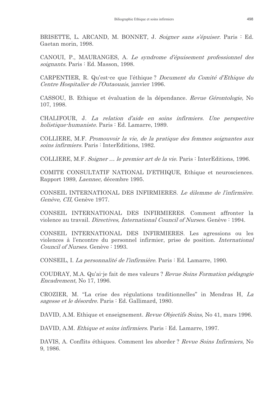BRISETTE, L. ARCAND, M. BONNET, J. Soigner sans s'épuiser. Paris : Ed. Gaetan morin, 1998.

CANOUI, P., MAURANGES, A. Le syndrome d'épuisement professionnel des soignants. Paris : Ed. Masson, 1998.

CARPENTIER, R. Qu'est-ce que l'éthique? Document du Comité d'Ethique du Centre Hospitalier de l'Outaouais, janvier 1996.

CASSOU, B. Ethique et évaluation de la dépendance. Revue Gérontologie, No 107, 1998.

CHALIFOUR, J. La relation d'aide en soins infirmiers. Une perspective *holistique-humaniste.* Paris : Ed. Lamarre, 1989.

COLLIERE, M.F. Promouvoir la vie, de la pratique des femmes soignantes aux soins infirmiers. Paris : InterEditions, 1982.

COLLIERE, M.F. Soigner ... le premier art de la vie. Paris : InterEditions, 1996.

COMITE CONSULTATIF NATIONAL D'ETHIQUE, Ethique et neurosciences. Rapport 1989, Laennec, décembre 1995.

CONSEIL INTERNATIONAL DES INFIRMIERES. Le dilemme de l'infirmière. Genève, CII, Genève 1977.

CONSEIL INTERNATIONAL DES INFIRMIERES. Comment affronter la violence au travail. *Directives, International Council of Nurses*. Genève : 1994.

CONSEIL INTERNATIONAL DES INFIRMIERES. Les agressions ou les violences à l'encontre du personnel infirmier, prise de position. International Council of Nurses. Genève : 1993.

CONSEIL, I. La personnalité de l'infirmière. Paris : Ed. Lamarre, 1990.

COUDRAY, M.A. Qu'ai-je fait de mes valeurs? Revue Soins Formation pédagogie Encadrement, No 17, 1996.

CROZIER, M. "La crise des régulations traditionnelles" in Mendras H, La sagesse et le désordre. Paris : Ed. Gallimard, 1980.

DAVID, A.M. Ethique et enseignement. Revue Objectifs Soins, No 41, mars 1996.

DAVID, A.M. *Ethique et soins infirmiers*. Paris : Ed. Lamarre, 1997.

DAVIS, A. Conflits éthiques. Comment les aborder? Revue Soins Infirmiers, No 9, 1986.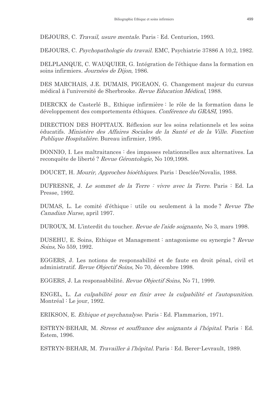DEJOURS, C. Travail, usure mentale, Paris : Ed. Centurion, 1993.

DEJOURS, C. Psychopathologie du travail. EMC, Psychiatrie 37886 A 10,2, 1982.

DELPLANQUE, C. WAUQUIER, G. Intégration de l'éthique dans la formation en soins infirmiers. Journées de Dijon, 1986.

DES MARCHAIS, J.E. DUMAIS, PIGEAON, G. Changement majeur du cursus médical à l'université de Sherbrooke. Revue Education Médical, 1988.

DIERCKX de Casterlé B., Ethique infirmière : le rôle de la formation dans le développement des comportements éthiques. Conférence du GRASI, 1995.

DIRECTION DES HOPITAUX. Réflexion sur les soins relationnels et les soins éducatifs. Ministère des Affaires Sociales de la Santé et de la Ville. Fonction Publique Hospitalière. Bureau infirmier, 1995.

DONNIO, I. Les maltraitances : des impasses relationnelles aux alternatives. La reconquête de liberté ? Revue Gérontologie, No 109,1998.

DOUCET, H. Mourir, Approches bioéthiques, Paris : Desclée/Novalis, 1988.

DUFRESNE, J. Le sommet de la Terre : vivre avec la Terre. Paris : Ed. La Presse, 1992.

DUMAS, L. Le comité d'éthique : utile ou seulement à la mode? Revue The Canadian Nurse, april 1997.

DUROUX, M. L'interdit du toucher. Revue de l'aide soignante, No 3, mars 1998.

DUSEHU, E. Soins, Ethique et Management : antagonisme ou synergie? Revue Soins, No 559, 1992.

EGGERS, J. Les notions de responsabilité et de faute en droit pénal, civil et administratif. Revue Objectif Soins, No 70, décembre 1998.

EGGERS, J. La responsabbilité. Revue Objectif Soins, No. 71, 1999.

ENGEL, L. La culpabilité pour en finir avec la culpabilité et l'autopunition. Montréal : Le jour, 1992.

ERIKSON, E. Ethique et psychanalyse. Paris : Ed. Flammarion, 1971.

ESTRYN-BEHAR, M. *Stress et souffrance des soignants à l'hôpital*. Paris : Ed. Estem, 1996.

ESTRYN-BEHAR, M. Travailler à l'hôpital. Paris : Ed. Berer-Levrault, 1989.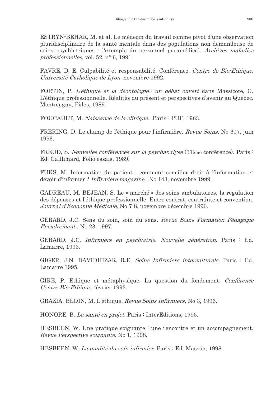ESTRYN-BEHAR, M. et al. Le médecin du travail comme pivot d'une observation pluridisciplinaire de la santé mentale dans des populations non demandeuse de soins psychiatriques - l'exemple du personnel paramédical. Archives maladies professionnelles, vol. 52,  $n^{\circ}$  6, 1991.

FAVRE, D. E. Culpabilité et responsabilité, Conférence. Centre de Bio-Ethique, Université Catholique de Lyon, novembre 1992.

FORTIN, P. L'éthique et la déontologie : un débat ouvert dans Massicote, G. L'éthique professionnelle. Réalités du présent et perspectives d'avenir au Québec. Montmagny, Fides, 1989.

FOUCAULT, M. Naissance de la clinique. Paris : PUF, 1963.

FRERING, D. Le champ de l'éthique pour l'infirmière. *Revue Soins*, No 607, juin 1996.

FREUD, S. *Nouvelles conférences sur la psychanalyse* (31ème conférence). Paris : Ed. Galllimard, Folio essais, 1989.

FUKS, M. Information du patient : comment concilier droit à l'information et devoir d'informer? *Infirmière magazine*, No 143, novembre 1999.

GADREAU, M. BEJEAN, S. Le « marché » des soins ambulatoires, la régulation des dépenses et l'éthique professionnelle. Entre contrat, contrainte et convention. Journal d'Economie Médicale, No 7-8, novembre-décembre 1996.

GERARD, J.C. Sens du soin, soin du sens. Revue Soins Formation Pédagogie Encadrement, No 23, 1997.

GERARD, J.C. Infirmiers en psychiatrie. Nouvelle génération. Paris : Ed. Lamarre, 1993.

GIGER, J.N. DAVIDHIZAR, R.E. Soins Infirmiers interculturels. Paris : Ed. Lamarre 1995.

GIRE, P. Ethique et métaphysique. La question du fondement. Conférence Centre Bio-Ethique, février 1993.

GRAZIA, BEDIN, M. L'éthique, Revue Soins Infirmiers, No 3, 1996.

HONORE, B. La santé en projet. Paris : InterEditions, 1996.

HESBEEN, W. Une pratique soignante : une rencontre et un accompagnement. *Revue Perspective soignante.* No 1, 1998.

HESBEEN, W. La qualité du soin infirmier. Paris : Ed. Masson, 1998.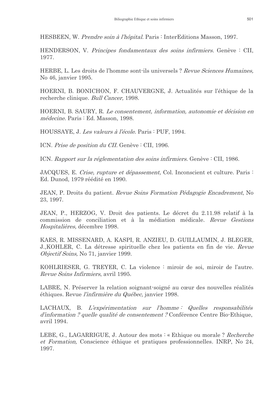HESBEEN, W. Prendre soin à l'hôpital. Paris : InterEditions Masson, 1997.

HENDERSON, V. Principes fondamentaux des soins infirmiers. Genève : CII, 1977.

HERBE, L. Les droits de l'homme sont-ils universels ? Revue Sciences Humaines. No 46, janvier 1995.

HOERNI, B. BONICHON, F. CHAUVERGNE, J. Actualités sur l'éthique de la recherche clinique. Bull Cancer, 1998.

HOERNI, B. SAURY, R. Le consentement, information, autonomie et décision en médecine. Paris : Ed. Masson, 1998.

HOUSSAYE, J. Les valeurs à l'école. Paris : PUF, 1994.

ICN. Prise de position du CII. Genève : CII, 1996.

ICN. Rapport sur la réglementation des soins infirmiers. Genève : CII, 1986.

JACQUES, E. Crise, rupture et dépassement. Col. Inconscient et culture. Paris: Ed. Dunod, 1979 réédité en 1990.

JEAN, P. Droits du patient. Revue Soins Formation Pédagogie Encadrement, No 23, 1997.

JEAN, P., HERZOG, V. Droit des patients. Le décret du 2.11.98 relatif à la commission de conciliation et à la médiation médicale. Revue Gestions Hospitalières, décembre 1998.

KAES, R. MISSENARD, A. KASPI, R. ANZIEU, D. GUILLAUMIN, J. BLEGER, J., KOHLER, C. La détresse spirituelle chez les patients en fin de vie. Revue *Objectif Soins*, No 71, janvier 1999.

KOHLRIESER, G. TREYER, C. La violence : miroir de soi, miroir de l'autre. Revue Soins Infirmiers, avril 1995.

LABRE, N. Préserver la relation soignant-soigné au cœur des nouvelles réalités éthiques. Revue *l'infirmière du Québec*, janvier 1998.

LACHAUX, B. L'expérimentation sur l'homme: Quelles responsabilités d'information ? quelle qualité de consentement ? Conférence Centre Bio-Ethique, avril 1994.

LEBE, G., LAGARRIGUE, J. Autour des mots : « Ethique ou morale ? Recherche et Formation, Conscience éthique et pratiques professionnelles. INRP, No 24, 1997.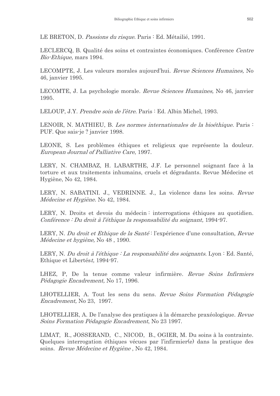LE BRETON, D. Passions du risque. Paris : Ed. Métailié, 1991.

LECLERCQ, B. Qualité des soins et contraintes économiques. Conférence Centre *Bio-Ethique*, mars 1994.

LECOMPTE, J. Les valeurs morales aujourd'hui. Revue Sciences Humaines. No 46, janvier 1995.

LECOMTE, J. La psychologie morale. Revue Sciences Humaines, No 46, janvier 1995.

LELOUP, J.Y. *Prendre soin de l'être*. Paris : Ed. Albin Michel, 1993.

LENOIR, N. MATHIEU, B. Les normes internationales de la bioéthique. Paris  $\mathbb{R}$ PUF. Que sais je ? janvier 1998.

LEONE, S. Les problèmes éthiques et religieux que représente la douleur. European Journal of Palliative Care, 1997.

LERY, N. CHAMBAZ, H. LABARTHE, J.F. Le personnel soignant face à la torture et aux traitements inhumains, cruels et dégradants. Revue Médecine et Hygiène, No 42, 1984.

LERY, N. SABATINI. J., VEDRINNE. J., La violence dans les soins. Revue Médecine et Hygiène. No 42, 1984.

LERY, N. Droits et devois du médecin : interrogations éthiques au quotidien. Conférence : Du droit à l'éthique la responsabilité du soignant, 1994-97.

LERY, N. Du droit et Ethique de la Santé: l'expérience d'une consultation, Revue Médecine et hygiène, No 48, 1990.

LERY, N. Du droit à l'éthique : La responsabilité des soignants. Lyon : Ed. Santé, Ethique et Libertést, 1994-97.

LHEZ, P, De la tenue comme valeur infirmière. Revue Soins Infirmiers *Pédagogie Encadrement*, No 17, 1996.

LHOTELLIER, A. Tout les sens du sens. Revue Soins Formation Pédagogie Encadrement, No 23, 1997.

LHOTELLIER, A. De l'analyse des pratiques à la démarche praxéologique. Revue Soins Formation Pédagogie Encadrement, No 23 1997.

LIMAT, R., JOSSERAND, C., NICOD, B., OGIER, M. Du soins à la contrainte. Quelques interrogation éthiques vécues par l'infirmier(e) dans la pratique des soins. Revue Médecine et Hygiène, No 42, 1984.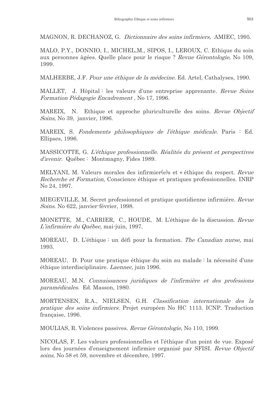MAGNON, R. DECHANOZ, G. Dictionnaire des soins infirmiers. AMIEC, 1995.

MALO, P.Y., DONNIO, I., MICHEL, M., SIPOS, I., LEROUX, C. Ethique du soin aux personnes âgées. Quelle place pour le risque? Revue Gérontologie, No 109, 1999.

MALHERBE, J.F. *Pour une éthique de la médecine*. Ed. Artel, Cathalyses, 1990.

MALLET, J. Hôpital: les valeurs d'une entreprise apprenante. Revue Soins Formation Pédagogie Encadrement, No 17, 1996.

MAREIX, N. Ethique et approche pluriculturelle des soins. Revue Objectif Soins, No 39, janvier, 1996.

MAREIX, S. Fondements philosophiques de l'éthique médicale. Paris : Ed. Ellipses, 1996.

MASSICOTTE, G. L'éthique professionnelle. Réalités du présent et perspectives d'avenir. Québec : Montmagny, Fides 1989.

MELYANI, M. Valeurs morales des infirmier (e) set « éthique du respect. Revue Recherche et Formation, Conscience éthique et pratiques professionnelles. INRP No 24, 1997.

MIEGEVILLE, M. Secret professionnel et pratique quotidienne infirmière. Revue Soins. No 622, janvier-février, 1998.

MONETTE, M., CARRIER, C., HOUDE, M. L'éthique de la discussion. Revue L'infirmière du Québec, mai-juin, 1997.

MOREAU, D. L'éthique : un défi pour la formation. The Canadian nurse, mai 1993.

MOREAU, D. Pour une pratique éthique du soin au malade : la nécessité d'une éthique interdisciplinaire. *Laennec*, juin 1996.

MOREAU, M.N. Connaissances juridiques de l'infirmière et des professions paramédicales. Ed. Masson, 1980.

MORTENSEN, R.A., NIELSEN, G.H. Classification internationale des la pratique des soins infirmiers. Projet européen No HC 1113. ICNP. Traduction française, 1996.

MOULIAS, R. Violences passives. Revue Gérontologie. No 110, 1999.

NICOLAS, F. Les valeurs professionnelles et l'éthique d'un point de vue. Exposé lors des journées d'enseignement infirmier organisé par SFISI. Revue Objectif soins, No 58 et 59, novembre et décembre, 1997.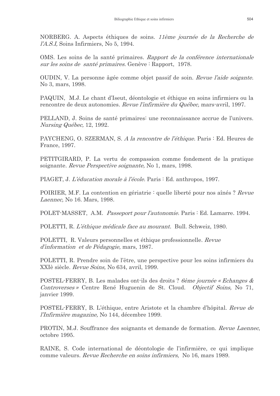NORBERG. A. Aspects éthiques de soins. 11ème journée de la Recherche de *l'A.S.I*, Soins Infirmiers, No 5, 1994.

OMS. Les soins de la santé primaires. Rapport de la conférence internationale sur les soins de santé primaires. Genève : Rapport, 1978.

OUDIN, V. La personne âgée comme objet passif de soin. Revue l'aide soigante. No 3, mars, 1998.

PAQUIN, M.J. Le chant d'Iseut, déontologie et éthique en soins infirmiers ou la rencontre de deux autonomies. Revue l'infirmière du Québec, mars-avril, 1997.

PELLAND, J. Soins de santé primaires: une reconnaissance accrue de l'univers. Nursing  $\ddot{q}$ uébec, 12, 1992.

PAYCHENG, O. SZERMAN, S. A la rencontre de l'éthique. Paris : Ed. Heures de France, 1997.

PETITGIRARD, P. La vertu de compassion comme fondement de la pratique soignante. Revue Perspective soignante, No 1, mars, 1998.

PIAGET, J. L'éducation morale à l'école. Paris : Ed. anthropos, 1997.

POIRIER, M.F. La contention en gériatrie : quelle liberté pour nos aînés ? Revue Laennec, No 16. Mars, 1998.

POLET-MASSET, A.M. Passeport pour l'autonomie. Paris : Ed. Lamarre. 1994.

POLETTI, R. L'éthique médicale face au mourant. Bull. Schweiz, 1980.

POLETTI, R. Valeurs personnelles et éthique professionnelle. Revue d'information et de Pédagogie, mars, 1987.

POLETTI, R. Prendre soin de l'être, une perspective pour les soins infirmiers du XXIè siècle. Revue Soins. No 634, avril. 1999.

POSTEL-FERRY, B. Les malades ont ils des droits? Cème journée « Echanges & Controverses » Centre René Huguenin de St. Cloud. Objectif Soins, No. 71, janvier 1999.

POSTEL-FERRY, B. L'éthique, entre Aristote et la chambre d'hôpital. Revue de *l'Infirmière magazine*, No 144, décembre 1999.

PROTIN, M.J. Souffrance des soignants et demande de formation. Revue Laennec, octobre 1995.

RAINE, S. Code international de déontologie de l'infirmière, ce qui implique comme valeurs. Revue Recherche en soins infirmiers, No 16, mars 1989.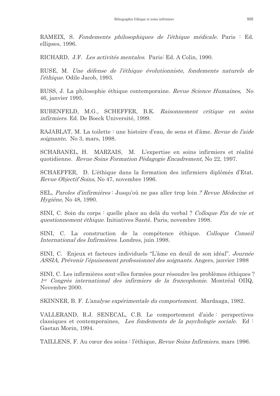RAMEIX, S. Fondements philosophiques de l'éthique médicale. Paris : Ed. ellipses, 1996.

RICHARD, J.F. Les activités mentales. Paris: Ed. A Colin, 1990.

RUSE, M. Une défense de l'éthique évolutionniste, fondements naturels de *l'éthique.* Odile Jacob, 1993.

RUSS, J. La philosophie éthique contemporaine. Revue Science Humaines, No 46, janvier 1995.

RUBENFELD, M.G., SCHEFFER, B.K. Raisonnement critique en soins infirmiers. Ed. De Boeck Université, 1999.

RAJABLAT, M. La toilette : une histoire d'eau, de sens et d'âme. Revue de l'aide soignante, No 3, mars, 1998.

SCHABANEL, H. MARZAIS, M. L'expertise en soins infirmiers et réalité quotidienne. Revue Soins Formation Pédagogie Encadrement, No 22, 1997.

SCHAEFFER. D. L'éthique dans la formation des infirmiers diplômés d'Etat. *Revue Objectif Soins*, No 47, novembre 1996.

SEL, Paroles d'infirmières : Jusqu'où ne pas aller trop loin ? Revue Médecine et Hygiène, No 48, 1990.

SINI, C. Soin du corps : quelle place au delà du verbal ? Colloque Fin de vie et questionnement éthique. Initiatives Santé. Paris, novembre 1998.

SINI, C. La construction de la compétence éthique. Colloque Conseil *International des Infirmières.* Londres, juin 1998.

SINI, C. Enjeux et facteurs individuels "L'âme en deuil de son idéal". Journée ASSIA, Prévenir l'épuisement professionnel des soignants. Angers, janvier 1998

SINI, C. Les infirmières sont-elles formées pour résoudre les problèmes éthiques ?  $1<sup>er</sup>$  Congrès international des infirmiers de la francophonie. Montréal OIIQ, Novembre 2000.

SKINNER, B. F. L'analyse expérimentale du comportement. Mardaaga, 1982.

VALLERAND, R.J. SENECAL, C.B. Le comportement d'aide: perspectives classiques et contemporaines, Les fondements de la psychologie sociale. Ed : Gaetan Morin, 1994.

TAILLENS, F. Au cœur des soins : l'éthique, Revue Soins Infirmiers, mars 1996.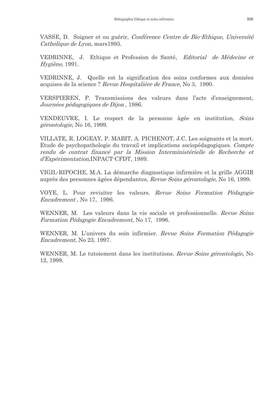VASSE, D. Soigner et ou guérir, Conférence Centre de Bio-Ethique, Université Catholique de Lyon, mars 1993.

VEDRINNE, J. Ethique et Profession de Santé, Editorial de Médecine et *Hygiène*, 1991.

VEDRINNE, J. Quelle est la signification des soins conformes aux données acquises de la science? Revue Hospitalière de France, No 3, 1990.

VERSPIEREN, P. Transmissions des valeurs dans l'acte d'enseignement, Journées pédagogiques de Dijon, 1986.

VENDEUVRE, I. Le respect de la personne âgée en institution, Soins *gérontologie*, No 16, 1999.

VILLATE, R. LOGEAY, P. MABIT, A. PICHENOT, J.C. Les soignants et la mort. Etude de psychopathologie du travail et implications sociopédagogiques. Compte rendu de contrat financé par la Mission Interministérielle de Recherche et d'Expérimentation, INPACT-CFDT, 1989.

VIGIL-RIPOCHE, M.A. La démarche diagnostique infirmière et la grille AGGIR auprès des personnes âgées dépendantes, *Revue Soins gérontologie*, No 16, 1999.

VOYE, L. Pour revisiter les valeurs. Revue Soins Formation Pédagogie Encadrement, No 17, 1996.

WENNER, M. Les valeurs dans la vie sociale et professionnelle. Revue Soins Formation Pédagogie Encadrement, No 17, 1996.

WENNER, M. L'univers du soin infirmier. Revue Soins Formation Pédagogie *Encadrement, No 23, 1997.* 

WENNER, M. Le tutoiement dans les institutions. Revue Soins gérontologie, No 12, 1998.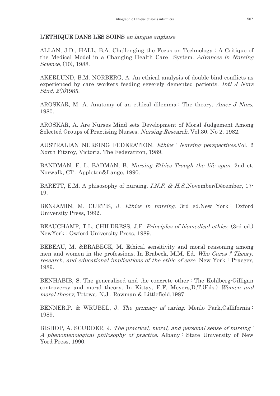# L'ETHIQUE DANS LES SOINS en langue anglaise

ALLAN, J.D., HALL, B.A. Challenging the Focus on Technology: A Critique of the Medical Model in a Changing Health Care System. Advances in Nursing *Science*, (10), 1988.

AKERLUND, B.M. NORBERG, A. An ethical analysis of double bind conflicts as experienced by care workers feeding severely demented patients. Intl J Nurs *Stud, 2(3)*1985.

AROSKAR, M. A. Anatomy of an ethical dilemma: The theory. Amer J Nurs, 1980.

AROSKAR, A. Are Nurses Mind sets Development of Moral Judgement Among Selected Groups of Practising Nurses. Nursing Research. Vol.30. No 2, 1982.

AUSTRALIAN NURSING FEDERATION. *Ethics : Nursing perspectives.* Vol. 2 North Fitzroy, Victoria. The Federatiton, 1989.

BANDMAN, E. L. BADMAN, B. Nursing Ethics Trough the life span. 2nd et. Norwalk, CT: Appleton&Lange, 1990.

BARETT, E.M. A phisosophy of nursing. I.N.F. & H.S., November/Décember, 17-19.

BENJAMIN, M. CURTIS, J. Ethics in nursing. 3rd ed. New York: Oxford University Press, 1992.

BEAUCHAMP, T.L. CHILDRESS, J.F. Principles of biomedical ethics, (3rd ed.) NewYork: Owford University Press, 1989.

BEBEAU, M. & BRABECK, M. Ethical sensitivity and moral reasoning among men and women in the professions. In Brabeck, M.M. Ed. Who Cares ? Theory, research, and educational implications of the ethic of care. New York: Praeger, 1989.

BENHABIB, S. The generalized and the concrete other: The Kohlberg-Gilligan controversy and moral theory. In Kittay, E.F. Meyers, D.T. (Eds.) Women and *moral theory*, Totowa, N.J: Rowman & Littlefield, 1987.

BENNER, P. & WRUBEL, J. The primacy of caring. Menlo Park, Callifornia: 1989.

BISHOP, A. SCUDDER, J. The practical, moral, and personal sense of nursing: A phenomenological philosophy of practice. Albany: State University of New Yord Press, 1990.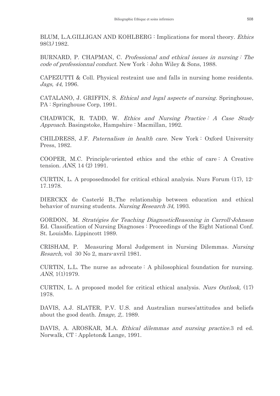BLUM, L.A.GILLIGAN AND KOHLBERG : Implications for moral theory. *Ethics*  $98(3)$  1982.

BURNARD, P. CHAPMAN, C. Professional and ethical issues in nursing: The code of professionnal conduct. New York: John Wiley & Sons, 1988.

CAPEZUTTI & Coll. Physical restraint use and falls in nursing home residents. Jags, 44, 1996.

CATALANO, J. GRIFFIN, S. *Ethical and legal aspects of nursing*. Springhouse, PA: Springhouse Corp. 1991.

CHADWICK, R. TADD, W. Ethics and Nursing Practice: A Case Study *Approach.* Basingstoke, Hampshire: Macmillan, 1992.

CHILDRESS, J.F. *Paternalism in health care*. New York: Oxford University Press, 1982.

COOPER, M.C. Principle-oriented ethics and the ethic of care: A Creative tension. ANS, 14 (2) 1991.

CURTIN, L. A proposed model for critical ethical analysis. Nurs Forum (17), 12-17.1978.

DIERCKX de Casterlé B., The relationship between education and ethical behavior of nursing students. Nursing Research 34, 1993.

GORDON, M. Stratégies for Teaching DiagnosticReasoning in Carroll-Johnson Ed. Classification of Nursing Diagnoses: Proceedings of the Eight National Conf. St. LouisMo. Lippincott 1989.

CRISHAM, P. Measuring Moral Judgement in Nursing Dilemmas. Nursing Resarch, vol 30 No 2, mars-avril 1981.

CURTIN, L.L. The nurse as advocate: A philosophical foundation for nursing. *ANS*, 1(1)1979.

CURTIN, L. A proposed model for critical ethical analysis. Nurs Outlook, (17) 1978.

DAVIS, A.J. SLATER, P.V. U.S. and Australian nurses'attitudes and beliefs about the good death. Image, 2, 1989.

DAVIS, A. AROSKAR, M.A. *Ethical dilemmas and nursing practice.* 3 rd ed. Norwalk, CT: Appleton& Lange, 1991.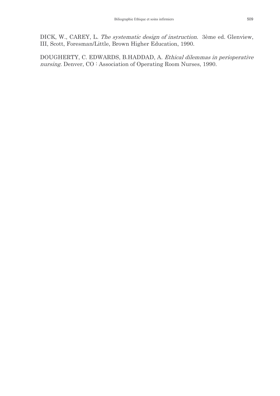DICK, W., CAREY, L. The systematic design of instruction. 3ème ed. Glenview, III, Scott, Foresman/Little, Brown Higher Education, 1990.

DOUGHERTY, C. EDWARDS, B.HADDAD, A. Ethical dilemmas in perioperative nursing. Denver, CO: Association of Operating Room Nurses, 1990.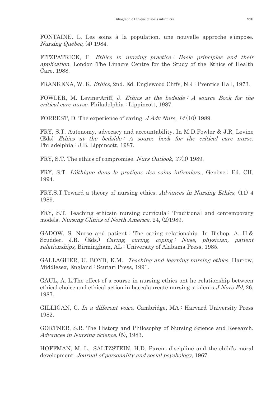FONTAINE, L. Les soins à la population, une nouvelle approche s'impose. Nursing Québec, (4) 1984.

FITZPATRICK, F. Ethics in nursing practice: Basic principles and their *application.* London The Linacre Centre for the Study of the Ethics of Health Care, 1988.

FRANKENA, W. K. *Ethics*, 2nd. Ed. Englewood Cliffs, N.J: Prentice-Hall, 1973.

FOWLER, M. Levine-Ariff, J. Ethics at the bedside: A source Book for the *critical care nurse.* Philadelphia : Lippincott, 1987.

FORREST, D. The experience of caring.  $J Adv Nurs, 14(10)$  1989.

FRY, S.T. Autonomy, advocacy and accountability. In M.D. Fowler & J.R. Levine (Eds) Ethics at the bedside: A source book for the critical care nurse. Philadelphia : J.B. Lippincott, 1987.

FRY, S.T. The ethics of compromise. Nurs Outlook, 37(3) 1989.

FRY, S.T. L'éthique dans la pratique des soins infirmiers.. Genève : Ed. CII. 1994.

FRY, S.T. Toward a theory of nursing ethics. Advances in Nursing Ethics, (11) 4 1989.

FRY, S.T. Teaching ethicsin nursing curricula: Traditional and contemporary models. Nursing Clinics of North America, 24, (2)1989.

GADOW, S. Nurse and patient: The caring relationship. In Bishop, A. H.& Scudder, J.R. (Eds.) Caring, curing, coping: Nuse, physician, patient *relationships*, Birmingham, AL: University of Alabama Press, 1985.

GALLAGHER, U. BOYD, K.M. Teaching and learning nursing ethics. Harrow, Middlesex, England : Scutari Press, 1991.

GAUL, A. L. The effect of a course in nursing ethics ont he relationship between ethical choice and ethical action in baccalaureate nursing students. J Nurs Ed, 26, 1987.

GILLIGAN, C. In a different voice. Cambridge, MA: Harvard University Press 1982.

GORTNER, S.R. The History and Philosophy of Nursing Science and Research. *Advances in Nursing Science.* (5), 1983.

HOFFMAN, M. L., SALTZSTEIN, H.D. Parent discipline and the child's moral development. Journal of personality and social psychology, 1967.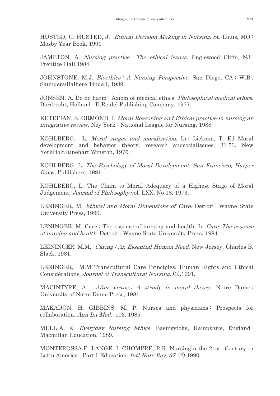HUSTED, G. HUSTED, J. Ethical Decision Making in Nursing. St. Louis, MO: Mosby Year Book, 1991.

JAMETON, A. *Nursing practice: The ethical issues*. Englewood Cliffs, NJ: Prentice-Hall, 1984.

JOHNSTONE, M.J. *Bioethics: A Nursing Perspective*. San Diego, CA: W.B.. Saunders/Balliere Tindall, 1989.

JONSEN, A. Do no harm: Axiom of medical ethics. Philosophical medical ethics. Dordrecht, Holland: D.Reidel Publishing Company, 1977.

KETEFIAN, S. ORMOND, I. Moral Reasoning and Ethical practice in nursing an *integrative review.* Ney York: National League for Nursing, 1988.

KOHLBERG, L. Moral stages and moralization. In: Lickona, T. Ed Moral development and behavior théory, research and socialissues, 31-53. New YorkHolt, Rinehart Winston, 1976.

KOHLBERG, L. The Psychology of Moral Development, San Francisco, Harper Rovw. Publishers. 1981.

KOHLBERG, L. The Claim to Moral Adequacy of a Highest Stage of Moral Judgement, *Journal of Philosophy*, vol. LXX, No 18, 1973.

LENINGER, M. Ethical and Moral Dimensions of Care. Detroit: Wayne State University Press, 1990.

LENINGER, M. Care: The essence of nursing and health. In *Care: The essence* of nursing and health. Detroit: Wayne State University Press, 1984.

LEININGER, M.M. Caring: An Essential Human Need. New Jersey, Charles B. Slack, 1981.

LENINGER, M.M Transcultural Care Principles. Human Rights and Ethical Considérations. Journel of Transcultural Nursing, (3), 1991.

MACINTYRE, A. After virtue: A strudy in moral theory. Notre Dame: University of Notre Dame Press, 1981.

MAKADON, H. GIBBINS, M. P. Nurses and physicians: Prospects for collaboration. Ann Int Med. 103, 1985.

MELLIA, K. Everyday Nursing Ethics. Basingstoke, Hampshire, England: Macmillan Education, 1989.

MONTEROSSA, E. LANGE, I. CHOMPRE, R.R. Nursingin the 21st Century in Latin America : Part I-Education. *Intl Nurs Rev, 37,* (2), 1990.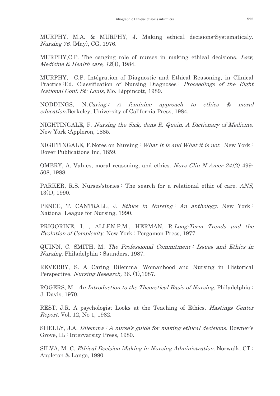MURPHY, M.A. & MURPHY, J. Making ethical decisions-Systematicaly. *Nursing 76.* (May), CG, 1976.

MURPHY, C.P. The canging role of nurses in making ethical decisions. Law, Medicine & Health care,  $12(4)$ , 1984.

MURPHY, C.P. Intégration of Diagnostic and Ethical Reasoning, in Clinical Practice Ed. Classification of Nursing Diagnoses: Proceedings of the Eight National Conf. St-Louis, Mo. Lippincott, 1989.

NODDINGS.  $N.Caring: A femin$ approach  $to$ ethics  $\mathcal{X}$ moral *education.Berkeley, University of California Press, 1984.* 

NIGHTINGALE, F. Nursing the Sick, dans R. Quain. A Dictionary of Medicine. New York : Appleron, 1885.

NIGHTINGALE, F. Notes on Nursing: What It is and What it is not. New York: Dover Publications Inc, 1859.

OMERY, A. Values, moral reasoning, and ethics. Nurs Clin N Amer 24.(2) 499-508, 1988.

PARKER, R.S. Nurses'stories: The search for a relational ethic of care. ANS,  $13(1), 1990.$ 

PENCE, T. CANTRALL, J. Ethics in Nursing: An anthology. New York: National League for Nursing, 1990.

PRIGORINE, I., ALLEN, P.M., HERMAN, R.Long-Term Trends and the *Evolution of Complexity.* New York: Pergamon Press, 1977.

QUINN, C. SMITH, M. The Professional Commitment: Issues and Ethics in *Nursing.* Philadelphia  $:$  Saunders, 1987.

REVERBY, S. A Caring Dilemma: Womanhood and Nursing in Historical Perspective. Nursing Research, 36. (1), 1987.

ROGERS, M. An Introduction to the Theoretical Basis of Nursing. Philadelphia: J. Davis, 1970.

REST, J.R. A psychologist Looks at the Teaching of Ethics. *Hastings Center Report.* Vol. 12, No 1, 1982.

SHELLY, J.A. Dilemma: A nurse's guide for making ethical decisions. Downer's Grove, IL: Intervarsity Press, 1980.

SILVA, M. C. Ethical Decision Making in Nursing Administration. Norwalk, CT: Appleton & Lange, 1990.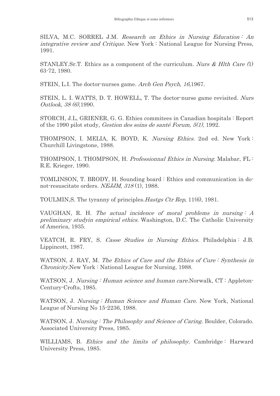SILVA, M.C. SORREL J.M. Research on Ethics in Nursing Education: An *integrative review and Critique.* New York: National League for Nursing Press, 1991.

STANLEY.Sr.T. Ethics as a component of the curriculum. Nurs & Hlth Care  $(1)$ 63-72, 1980.

STEIN, L.I. The doctor-nurses game. Arch Gen Psych, 16,1967.

STEIN, L. I. WATTS, D. T. HOWELL, T. The doctor-nurse game revisited. Nurs Outlook, 38 (6),1990.

STORCH, J.L. GRIENER, G. G. Ethies commitees in Canadian hospitals : Report of the 1990 pilot study, Gestion des soins de santé Forum,  $5(1)$ , 1992.

THOMPSON, I. MELIA, K. BOYD, K. Nursing Ethics. 2nd ed. New York: Churchill Livingstone, 1988.

THOMPSON, I. THOMPSON, H. Professionnal Ethics in Nursing. Malabar, FL: R.E. Krieger, 1990.

TOMLINSON, T. BRODY, H. Sounding board : Ethics and communication in donot-resuscitate orders. NEJJM, 318(1), 1988.

TOULMIN, S. The tyranny of principles. *Hastes Ctr Rep.* 11(6), 1981.

VAUGHAN, R. H. The actual incidence of moral problems in nursing:  $A$ preliminary study in empirical ethics. Washington, D.C. The Catholic University of America, 1935.

VEATCH, R. FRY, S. Casse Studies in Nursing Ethics. Philadelphia: J.B. Lippincott, 1987.

WATSON, J. RAY, M. The Ethics of Care and the Ethics of Cure: Synthesis in *Chronicity.* New York: National League for Nursing, 1988.

WATSON, J. Nursing: Human science and human care. Norwalk, CT: Appleton-Century-Crofts, 1985.

WATSON, J. Nursing: Human Science and Human Care. New York, National League of Nursing No 15-2236, 1988.

WATSON, J. Nursing: The Philosophy and Science of Caring. Boulder, Colorado. Associated University Press, 1985.

WILLIAMS, B. *Ethics and the limits of philosophy*. Cambridge: Harward University Press, 1985.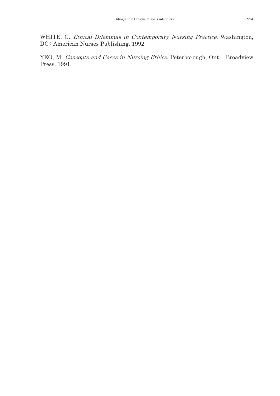WHITE, G. Ethical Dilemmas in Contemporary Nursing Practice. Washington, DC: American Nurses Publishing, 1992.

YEO, M. Concepts and Cases in Nursing Ethics. Peterborough, Ont. : Broadview Press, 1991.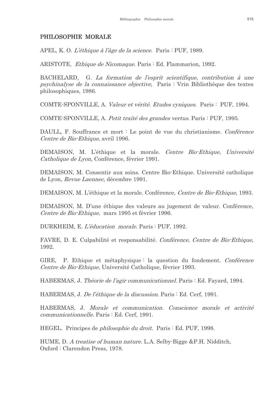## PHILOSOPHIE MORALE

APEL, K. O. L'éthique à l'âge de la science. Paris : PUF, 1989.

ARISTOTE, *Ethique de Nicomaque*. Paris : Ed. Flammarion, 1992.

BACHELARD, G. La formation de l'esprit scientifique, contribution à une psychinalyse de la connaissance objective, Paris : Vrin Bibliothèque des textes philosophiques, 1986.

COMTE-SPONVILLE, A. *Valeur et vérité. Etudes cyniques*. Paris: PUF, 1994.

COMTE-SPONVILLE, A. Petit traité des grandes vertus. Paris : PUF, 1995.

DAULL, F. Souffrance et mort : Le point de vue du christianisme. Conférence Centre de Bio-Ethique, avril 1996.

DEMAISON, M. L'éthique et la morale. Centre Bio-Ethique, Université Catholique de Lyon, Conférence, février 1991.

DEMAISON, M. Consentir aux soins. Centre Bio-Ethique, Université catholique de Lyon, Revue Laennec, décembre 1991.

DEMAISON, M. L'éthique et la morale. Conférence, Centre de Bio-Ethique, 1993.

DEMAISON, M. D'une éthique des valeurs au jugement de valeur. Conférence, Centre de Bio-Ethique, mars 1995 et février 1996.

DURKHEIM, E. L'éducation morale. Paris : PUF, 1992.

FAVRE, D. E. Culpabilité et responsabilité. Conférence, Centre de Bio-Ethique, 1992.

**GIRE** P. Ethique et métaphysique : la question du fondement. Conférence Centre de Bio-Ethique, Université Catholique, février 1993.

HABERMAS, J. Théorie de l'agir communicationnel. Paris : Ed. Fayard, 1994.

HABERMAS, J. De l'éthique de la discussion. Paris : Ed. Cerf, 1991.

HABERMAS, J. Morale et communication. Conscience morale et activité communicationnelle. Paris : Ed. Cerf, 1991.

HEGEL. Principes de *philosophie du droit*. Paris : Ed. PUF, 1998.

HUME, D. A treatise of human nature. L.A. Selby-Bigge & P.H. Nidditch, Oxford: Clarendon Press, 1978.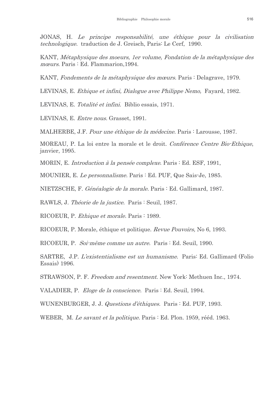JONAS, H. Le principe responsabilité, une éthique pour la civilisation technologique. traduction de J. Greisch, Paris: Le Cerf, 1990.

KANT, Métaphysique des moeurs, 1er volume, Fondation de la métaphysique des mœurs. Paris : Ed. Flammarion, 1994.

KANT, Fondements de la métaphysique des mœurs. Paris : Delagrave, 1979.

LEVINAS, E. Ethique et infini, Dialogue avec Philippe Nemo, Fayard, 1982.

LEVINAS, E. Totalité et infini. Biblio essais, 1971.

LEVINAS, E. Entre nous. Grasset, 1991.

MALHERBE, J.F. Pour une éthique de la médecine. Paris : Larousse, 1987.

MOREAU, P. La loi entre la morale et le droit. Conférence Centre Bio-Ethique, janvier, 1995.

MORIN, E. Introduction à la pensée complexe. Paris : Ed. ESF, 1991,

MOUNIER, E. Le personnalisme. Paris : Ed. PUF, Que Sais-Je, 1985.

NIETZSCHE, F. Généalogie de la morale. Paris : Ed. Gallimard, 1987.

RAWLS, J. Théorie de la justice. Paris : Seuil, 1987.

RICOEUR, P. Ethique et morale. Paris : 1989.

RICOEUR, P. Morale, éthique et politique. *Revue Pouvoirs*, No 6, 1993.

RICOEUR, P. Soi-même comme un autre. Paris : Ed. Seuil, 1990.

SARTRE, J.P. L'existentialisme est un humanisme. Paris: Ed. Gallimard (Folio Essais) 1996.

STRAWSON, P. F. Freedom and resentment. New York: Methuen Inc., 1974.

VALADIER, P. Eloge de la conscience. Paris : Ed. Seuil, 1994.

WUNENBURGER, J. J. *Questions d'éthiques*. Paris : Ed. PUF, 1993.

WEBER, M. Le savant et la politique. Paris : Ed. Plon. 1959, rééd. 1963.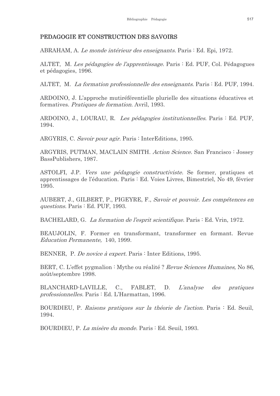#### PEDAGOGIE ET CONSTRUCTION DES SAVOIRS

ABRAHAM, A. Le monde intérieur des enseignants. Paris : Ed. Epi, 1972.

ALTET, M. Les pédagogies de l'apprentissage. Paris : Ed. PUF, Col. Pédagogues et pédagogies, 1996.

ALTET, M. La formation professionnelle des enseignants. Paris : Ed. PUF, 1994.

ARDOINO, J. L'approche mutiréférentielle plurielle des situations éducatives et formatives. Pratiques de formation. Avril, 1993.

ARDOINO, J., LOURAU, R. Les pédagogies institutionnelles. Paris : Ed. PUF, 1994.

ARGYRIS, C. Savoir pour agir. Paris : InterEditions, 1995.

ARGYRIS, PUTMAN, MACLAIN SMITH. Action Science. San Francisco: Jossey BassPublishers, 1987.

ASTOLFI, J.P. *Vers une pédagogie constructiviste*. Se former, pratiques et apprentissages de l'éducation. Paris : Ed. Voies Livres, Bimestriel, No 49, février 1995.

AUBERT, J., GILBERT, P., PIGEYRE, F., Savoir et pouvoir. Les compétences en questions. Paris : Ed. PUF, 1993.

BACHELARD, G. La formation de l'esprit scientifique. Paris : Ed. Vrin, 1972.

BEAUJOLIN, F. Former en transformant, transformer en formant. Revue *Education Permanente*, 140, 1999.

BENNER, P. De novice à expert. Paris : Inter Editions, 1995.

BERT, C. L'effet pygmalion : Mythe ou réalité ? Revue Sciences Humaines, No 86, août/septembre 1998.

BLANCHARD-LAVILLE,  $C_{\cdot}$ L'analyse FABLET, D.  $des$ pratiques *professionnelles.* Paris : Ed. L'Harmattan, 1996.

BOURDIEU, P. Raisons pratiques sur la théorie de l'action. Paris : Ed. Seuil, 1994.

BOURDIEU, P. La misère du monde. Paris : Ed. Seuil, 1993.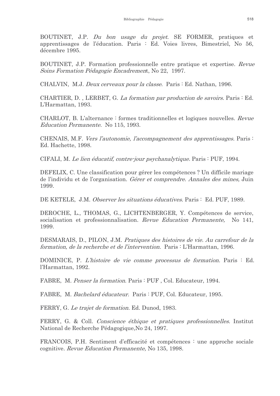BOUTINET, J.P. Du bon usage du projet. SE FORMER, pratiques et apprentissages de l'éducation. Paris : Ed. Voies livres, Bimestriel, No 56, décembre 1995.

BOUTINET, J.P. Formation professionnelle entre pratique et expertise. Revue Soins Formation Pédagogie Encadrement, No 22, 1997.

CHALVIN, M.J. Deux cerveaux pour la classe. Paris : Ed. Nathan, 1996.

CHARTIER, D., LERBET, G. La formation par production de savoirs. Paris : Ed. L'Harmattan, 1993.

CHARLOT, B. L'alternance : formes traditionnelles et logiques nouvelles. Revue Education Permanente. No 115, 1993.

CHENAIS, M.F. Vers l'autonomie, l'accompagnement des apprentissages. Paris: Ed. Hachette, 1998.

CIFALI, M. Le lien éducatif, contre-jour psychanalytique. Paris : PUF, 1994.

DEFELIX, C. Une classification pour gérer les compétences ? Un difficile mariage de l'individu et de l'organisation. *Gérer et comprendre. Annales des mines*, Juin 1999.

DE KETELE, J.M. Observer les situations éducatives. Paris : Ed. PUF, 1989.

DEROCHE, L., THOMAS, G., LICHTENBERGER, Y. Compétences de service, socialisation et professionnalisation. Revue Education Permanente, No 141, 1999.

DESMARAIS, D., PILON, J.M. Pratiques des histoires de vie. Au carrefour de la formation, de la recherche et de l'intervention. Paris : L'Harmattan, 1996.

DOMINICE, P. L'histoire de vie comme processus de formation. Paris : Ed. l'Harmattan, 1992.

FABRE, M. Penser la formation. Paris : PUF, Col. Educateur, 1994.

FABRE, M. Bachelard éducateur. Paris : PUF, Col. Educateur, 1995.

FERRY, G. Le trajet de formation. Ed. Dunod, 1983.

FERRY, G. & Coll. Conscience éthique et pratiques professionnelles. Institut National de Recherche Pédagogique, No 24, 1997.

FRANCOIS, P.H. Sentiment d'efficacité et compétences : une approche sociale cognitive. Revue Education Permanente, No 135, 1998.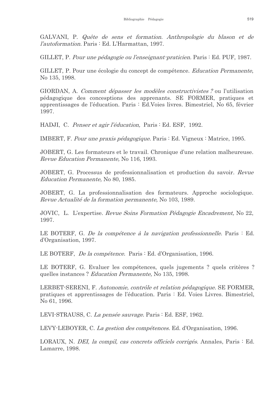GALVANI, P. Quête de sens et formation. Anthropologie du blason et de l'autoformation. Paris : Ed. L'Harmattan, 1997.

GILLET, P. Pour une pédagogie ou l'enseignant-praticien. Paris : Ed. PUF, 1987.

GILLET, P. Pour une écologie du concept de compétence. Education Permanente. No 135, 1998.

GIORDAN, A. Comment dépasser les modèles constructivistes ? ou l'utilisation pédagogique des concesptions des apprenants. SE FORMER, pratiques et apprentissages de l'éducation. Paris : Ed. Voies livres. Bimestriel, No 65, février 1997.

HADJI, C. Penser et agir l'éducation, Paris : Ed. ESF, 1992.

IMBERT, F. Pour une praxis pédagogique. Paris : Ed. Vigneux : Matrice, 1995.

JOBERT, G. Les formateurs et le travail. Chronique d'une relation malheureuse. Revue Education Permanente, No 116, 1993.

JOBERT, G. Processus de professionnalisation et production du savoir. Revue *Education Permanente*, No 80, 1985.

JOBERT, G. La professionnalisation des formateurs. Approche sociologique. Revue Actualité de la formation permanente, No 103, 1989.

JOVIC, L. L'expertise. Revue Soins Formation Pédagogie Encadrement, No 22, 1997.

LE BOTERF, G. De la compétence à la navigation professionnelle. Paris : Ed. d'Organisation, 1997.

LE BOTERF, *De la compétence*. Paris : Ed. d'Organisation, 1996.

LE BOTERF, G. Evaluer les compétences, quels jugements ? quels critères ? quelles instances? Education Permanente, No 135, 1998.

LERBET-SERENI, F. Autonomie, contrôle et relation pédagogique. SE FORMER, pratiques et apprentissages de l'éducation. Paris : Ed. Voies Livres. Bimestriel, No 61, 1996.

LEVI-STRAUSS, C. La pensée sauvage. Paris : Ed. ESF, 1962.

LEVY-LEBOYER, C. La gestion des compétences. Ed. d'Organisation, 1996.

LORAUX, N. DEI, la compil, cas concrets officiels corrigés. Annales, Paris : Ed. Lamarre, 1998.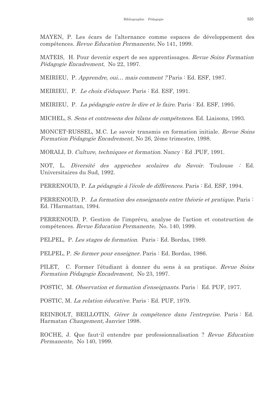MAYEN, P. Les écars de l'alternance comme espaces de développement des compétences. Revue Education Permanente, No 141, 1999.

MATEIS, H. Pour devenir expert de ses apprentissages. Revue Soins Formation Pédagogie Encadrement, No 22, 1997.

MEIRIEU, P. *Apprendre, oui... mais comment?* Paris : Ed. ESF, 1987.

MEIRIEU, P. Le choix d'éduquer. Paris : Ed. ESF, 1991.

MEIRIEU, P. La pédagogie entre le dire et le faire. Paris : Ed. ESF, 1995.

MICHEL, S. Sens et contresens des bilans de compétences. Ed. Liaisons, 1993.

MONCET-RUSSEL, M.C. Le savoir transmis en formation initiale. Revue Soins Formation Pédagogie Encadrement, No 26, 2ème trimestre, 1998.

MORALI, D. Culture, techniques et formation. Nancy: Ed. PUF, 1991.

NOT, L. *Diversité des approches scolaires du Savoir*. Toulouse : Ed. Universitaires du Sud. 1992.

PERRENOUD, P. La pédagogie à l'école de différences. Paris : Ed. ESF, 1994.

PERRENOUD, P. La formation des enseignants entre théorie et pratique. Paris: Ed. l'Harmattan, 1994.

PERRENOUD, P. Gestion de l'imprévu, analyse de l'action et construction de compétences. Revue Education Permanente, No. 140, 1999.

PELPEL, P. Les stages de formation. Paris : Ed. Bordas, 1989.

PELPEL, P. Se former pour enseigner. Paris : Ed. Bordas, 1986.

PILET, C. Former l'étudiant à donner du sens à sa pratique. Revue Soins Formation Pédagogie Encadrement, No 23, 1997.

POSTIC, M. Observation et formation d'enseignants. Paris : Ed. PUF, 1977.

POSTIC, M. La relation éducative. Paris : Ed. PUF, 1979.

REINBOLT, BEILLOTIN, Gérer la compétence dans l'entreprise. Paris : Ed. Harmatan Changement, Janvier 1998.

ROCHE, J. Que faut-il entendre par professionnalisation? Revue Education Permanente, No 140, 1999.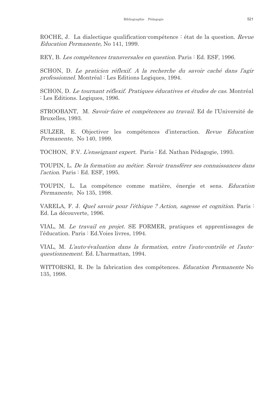ROCHE, J. La dialectique qualification-compétence : état de la question. Revue Education Permanente, No 141, 1999.

REY, B. Les compétences transversales en question. Paris : Ed. ESF, 1996.

SCHON, D. Le praticien réflexif. A la recherche du savoir caché dans l'agir *professionnel.* Montréal : Les Editions Logiques, 1994.

SCHON, D. Le tournant réflexif. Pratiques éducatives et études de cas. Montréal : Les Editions. Logiques, 1996.

STROOBANT, M. Savoir-faire et compétences au travail. Ed de l'Université de Bruxelles, 1993.

SULZER, E. Objectiver les compétences d'interaction. Revue Education Permanente, No 140, 1999.

TOCHON, F.V. L'enseignant expert. Paris : Ed. Nathan Pédagogie, 1993.

TOUPIN, L. De la formation au métier. Savoir transférer ses connaissances dans *l'action.* Paris : Ed. ESF. 1995.

TOUPIN, L. La compétence comme matière, énergie et sens. Education Permanente, No 135, 1998.

VARELA, F. J. Quel savoir pour l'éthique ? Action, sagesse et cognition. Paris : Ed. La découverte, 1996.

VIAL, M. Le travail en projet. SE FORMER, pratiques et apprentissages de l'éducation. Paris : Ed. Voies livres, 1994.

VIAL, M. L'auto-évaluation dans la formation, entre l'auto-contrôle et l'auto*questionnement.* Ed. L'harmattan, 1994.

WITTORSKI, R. De la fabrication des compétences. Education Permanente No 135, 1998.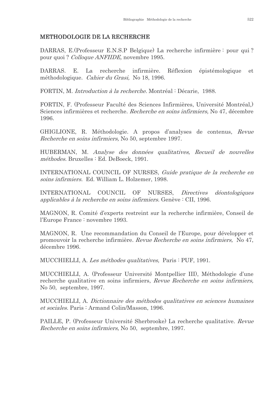## METHODOLOGIE DE LA RECHERCHE

DARRAS, E. (Professeur E.N.S.P Belgique) La recherche infirmière : pour qui? pour quoi? Colloque ANFIIDE, novembre 1995.

DARRAS. E. La recherche infirmière. Réflexion épistémologique  $et<sub>c</sub>$ méthodologique. Cahier du Grasi, No 18, 1996.

FORTIN, M. Introduction à la recherche. Montréal : Décarie, 1988.

FORTIN, F. (Professeur Faculté des Sciences Infirmières, Université Montréal.) Sciences infirmières et recherche. Recherche en soins infirmiers, No 47, décembre 1996.

GHIGLIONE, R. Méthodologie. A propos d'analyses de contenus, Revue *Recherche en soins infirmiers*, No 50, septembre 1997.

HUBERMAN, M. Analyse des données qualitatives, Recueil de nouvelles méthodes. Bruxelles : Ed. DeBoeck, 1991.

INTERNATIONAL COUNCIL OF NURSES. Guide pratique de la recherche en soins infirmiers. Ed. William L. Holzemer, 1998.

**INTERNATIONAL** COUNCIL OF NURSES, Directives déontologiques applicables à la recherche en soins infirmiers. Genève : CII, 1996.

MAGNON, R. Comité d'experts restreint sur la recherche infirmière, Conseil de l'Europe France : novembre 1993.

MAGNON, R. Une recommandation du Conseil de l'Europe, pour développer et promouvoir la recherche infirmière. Revue Recherche en soins infirmiers, No 47, décembre 1996.

MUCCHIELLI, A. Les méthodes qualitatives. Paris : PUF, 1991.

MUCCHIELLI, A. (Professeur Université Montpellier III), Méthodologie d'une recherche qualitative en soins infirmiers, Revue Recherche en soins infirmiers, No 50, septembre, 1997.

MUCCHIELLI, A. Dictionnaire des méthodes qualitatives en sciences humaines et sociales. Paris : Armand Colin/Masson, 1996.

PAILLE, P. (Professeur Université Sherbrooke) La recherche qualitative. Revue *Recherche en soins infirmiers.* No 50, septembre, 1997.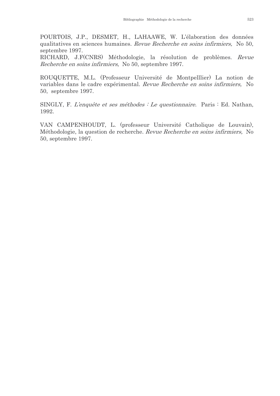POURTOIS, J.P., DESMET, H., LAHAAWE, W. L'élaboration des données qualitatives en sciences humaines. Revue Recherche en soins infirmiers, No 50, septembre 1997.

RICHARD, J.F(CNRS) Méthodologie, la résolution de problèmes. Revue Recherche en soins infirmiers, No 50, septembre 1997.

ROUQUETTE, M.L. (Professeur Université de Montpelllier) La notion de variables dans le cadre expérimental. Revue Recherche en soins infirmiers, No 50, septembre 1997.

SINGLY, F. L'enquête et ses méthodes : Le questionnaire. Paris : Ed. Nathan, 1992.

VAN CAMPENHOUDT, L. (professeur Université Catholique de Louvain), Méthodologie, la question de recherche. Revue Recherche en soins infirmiers, No 50, septembre 1997.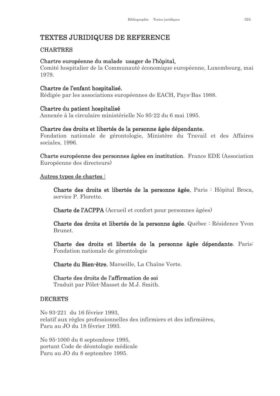# **TEXTES JURIDIQUES DE REFERENCE**

## **CHARTRES**

#### Chartre européenne du malade usager de l'hôpital.

Comité hospitalier de la Communauté économique européenne, Luxembourg, mai 1979.

#### Chartre de l'enfant hospitalisé.

Rédigée par les associations européennes de EACH, Pays-Bas 1988.

#### Chartre du patient hospitalisé

Annexée à la circulaire ministérielle No 95-22 du 6 mai 1995.

#### Chartre des droits et libertés de la personne âgée dépendante.

Fondation nationale de gérontologie, Ministère du Travail et des Affaires sociales, 1996.

Charte européenne des personnes âgées en institution. France EDE (Association Européenne des directeurs)

#### Autres types de chartes:

Charte des droits et libertés de la personne âgée, Paris : Hôpital Broca, service P. Florette.

**Charte de l'ACPPA** (Accueil et confort pour personnes âgées)

Charte des droits et libertés de la personne âgée. Québec : Résidence Yvon **Brunet** 

Charte des droits et libertés de la personne âgée dépendante. Paris: Fondation nationale de gérontologie

Charte du Bien-être, Marseille, La Chaîne Verte.

## Charte des droits de l'affirmation de soi

Traduit par Pôlet-Masset de M.J. Smith.

#### **DECRETS**

No 93-221 du 16 février 1993. relatif aux règles professionnelles des infirmiers et des infirmières. Paru au JO du 18 février 1993.

No 95-1000 du 6 septembree 1995. portant Code de déontologie médicale Paru au JO du 8 septembre 1995.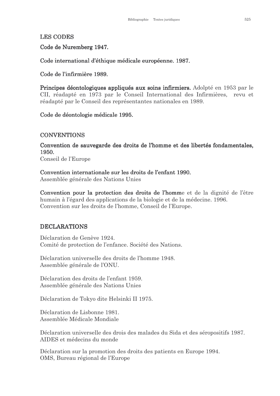# **LES CODES**

Code de Nuremberg 1947.

Code international d'éthique médicale européenne. 1987.

Code de l'infirmière 1989.

Principes déontologiques appliqués aux soins infirmiers. Adolpté en 1953 par le CII, réadapté en 1973 par le Conseil International des Infirmières, revu et réadapté par le Conseil des représentantes nationales en 1989.

# Code de déontologie médicale 1995.

## **CONVENTIONS**

Convention de sauvegarde des droits de l'homme et des libertés fondamentales, 1950. Conseil de l'Europe

Convention internationale sur les droits de l'enfant 1990.

Assemblée générale des Nations Unies

Convention pour la protection des droits de l'homme et de la dignité de l'être humain à l'égard des applications de la biologie et de la médecine. 1996. Convention sur les droits de l'homme, Conseil de l'Europe.

# **DECLARATIONS**

Déclaration de Genève 1924. Comité de protection de l'enfance. Société des Nations.

Déclaration universelle des droits de l'homme 1948. Assemblée générale de l'ONU.

Déclaration des droits de l'enfant 1959. Assemblée générale des Nations Unies

Déclaration de Tokyo dite Helsinki II 1975.

Déclaration de Lisbonne 1981. Assemblée Médicale Mondiale

Déclaration universelle des drois des malades du Sida et des séropositifs 1987. AIDES et médecins du monde

Déclaration sur la promotion des droits des patients en Europe 1994. OMS, Bureau régional de l'Europe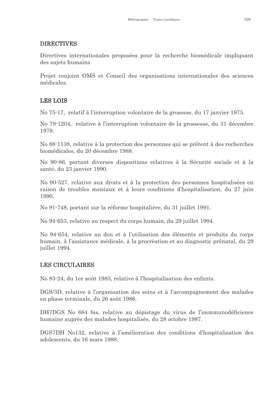## **DIRECTIVES**

Directives internationales proposées pour la recherche biomédicale impliquant des sujets humains

Projet conjoint OMS et Conseil des organisations internationales des sciences médicales.

# **LES LOIS**

No 75-17, relatif à l'interruption volontaire de la grosesse, du 17 janvier 1975.

No 79-1204, relative à l'interruption volontaire de la grossesse, du 31 décembre 1979.

No 88-1138, relative à la protection des personnes qui se prêtent à des recherches biomédicales, du 20 décembre 1988.

No 90.86, portant diverses dispositions relatives à la Sécurité sociale et à la santé, du 23 janvier 1990.

No 90.527, relative aux droits et à la protection des personnes hospitalisées en raison de troubles mentaux et à leurs conditions d'hospitalisation, du 27 juin 1990.

No 91.748, portant sur la réforme hospitalière, du 31 juillet 1991.

No 94.653, relative au respect du corps humain, du 29 juillet 1994.

No 94.654, relative au don et à l'utilisation des éléments et produits du corps humain, à l'assistance médicale, à la procréation et au diagnostic prénatal, du 29 juillet 1994.

# **LES CIRCULAIRES**

No 83.24, du 1er août 1983, relative à l'hospitalisation des enfants.

DGS/3D, relative à l'organisation des soins et à l'accompagnement des malades en phase terminale, du 26 août 1986.

DH7DGS No 684 bis, relative au dépistage du virus de l'immmunodéficience humaine auprès des malades hospitalisés, du 28 octobre 1987.

DGS7DH No132, relative à l'amélioration des conditions d'hospitalisation des adolescents, du 16 mars 1988.